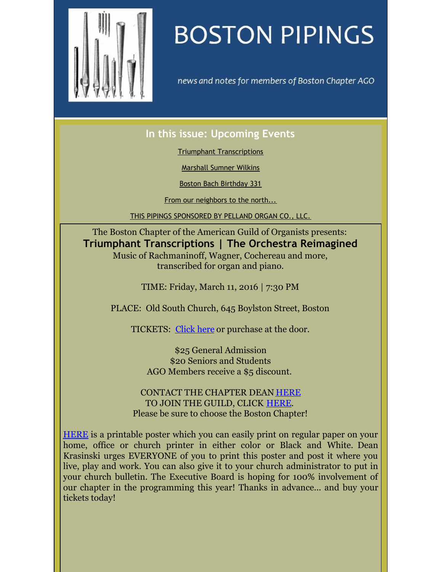<span id="page-0-0"></span>

## **BOSTON PIPINGS**

news and notes for members of Boston Chapter AGO

## **In this issue: Upcoming Events**

Triumphant [Transcriptions](#page-0-0)

[Marshall](#page-0-0) Sumner Wilkins

Boston Bach [Birthday](#page-0-0) 331

From our [neighbors](#page-0-0) to the north...

THIS PIPINGS [SPONSORED](#page-0-0) BY PELLAND ORGAN CO., LLC.

The Boston Chapter of the American Guild of Organists presents: **Triumphant Transcriptions | The Orchestra Reimagined** Music of Rachmaninoff, Wagner, Cochereau and more, transcribed for organ and piano.

TIME: Friday, March 11, 2016 | 7:30 PM

PLACE: Old South Church, 645 Boylston Street, Boston

TICKETS: [Click](http://bostonago.brownpapertickets.com/) here or purchase at the door.

\$25 General Admission \$20 Seniors and Students AGO Members receive a \$5 discount.

CONTACT THE CHAPTER DEAN [HERE](mailto:dean@bostonago.org) TO JOIN THE GUILD, CLICK [HERE](https://www.agohq.org/membership/join-as-a-chapter-member/). Please be sure to choose the Boston Chapter!

[HERE](http://files.ctctcdn.com/8b145067101/a8699e16-634b-4bbe-9182-686539e88888.pdf) is a printable poster which you can easily print on regular paper on your home, office or church printer in either color or Black and White. Dean Krasinski urges EVERYONE of you to print this poster and post it where you live, play and work. You can also give it to your church administrator to put in your church bulletin. The Executive Board is hoping for 100% involvement of our chapter in the programming this year! Thanks in advance... and buy your tickets today!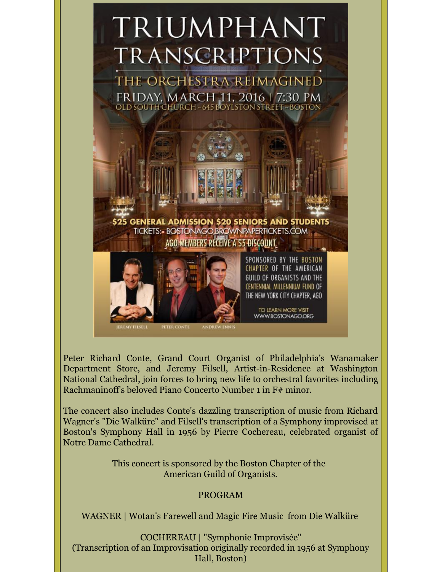# TRIUMPHANT **TRANSCRIPTIONS**

THE ORCHESTRA REIMAGINED FRIDAY, MARCH 11, 2016 | 7:30 PM OLD SOUTH CHURCH ~ 645 BOYLSTON STREET ~ BOSTON



Peter Richard Conte, Grand Court Organist of Philadelphia's Wanamaker Department Store, and Jeremy Filsell, Artist-in-Residence at Washington National Cathedral, join forces to bring new life to orchestral favorites including Rachmaninoff's beloved Piano Concerto Number 1 in F# minor.

ANDREW ENNIS

WWW.BOSTONAGO.ORG

The concert also includes Conte's dazzling transcription of music from Richard Wagner's "Die Walküre" and Filsell's transcription of a Symphony improvised at Boston's Symphony Hall in 1956 by Pierre Cochereau, celebrated organist of Notre Dame Cathedral.

> This concert is sponsored by the Boston Chapter of the American Guild of Organists.

### PROGRAM

WAGNER | Wotan's Farewell and Magic Fire Music from Die Walküre

COCHEREAU | "Symphonie Improvisée" (Transcription of an Improvisation originally recorded in 1956 at Symphony Hall, Boston)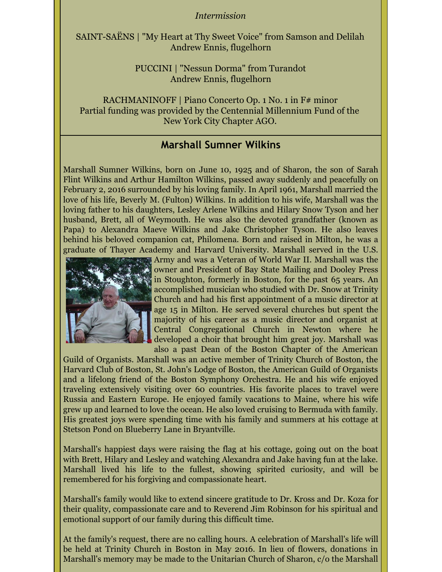#### *Intermission*

SAINT-SAËNS | "My Heart at Thy Sweet Voice" from Samson and Delilah Andrew Ennis, flugelhorn

> PUCCINI | "Nessun Dorma" from Turandot Andrew Ennis, flugelhorn

RACHMANINOFF | Piano Concerto Op. 1 No. 1 in F# minor Partial funding was provided by the Centennial Millennium Fund of the New York City Chapter AGO.

## **Marshall Sumner Wilkins**

Marshall Sumner Wilkins, born on June 10, 1925 and of Sharon, the son of Sarah Flint Wilkins and Arthur Hamilton Wilkins, passed away suddenly and peacefully on February 2, 2016 surrounded by his loving family. In April 1961, Marshall married the love of his life, Beverly M. (Fulton) Wilkins. In addition to his wife, Marshall was the loving father to his daughters, Lesley Arlene Wilkins and Hilary Snow Tyson and her husband, Brett, all of Weymouth. He was also the devoted grandfather (known as Papa) to Alexandra Maeve Wilkins and Jake Christopher Tyson. He also leaves behind his beloved companion cat, Philomena. Born and raised in Milton, he was a graduate of Thayer Academy and Harvard University. Marshall served in the U.S.



Army and was a Veteran of World War II. Marshall was the owner and President of Bay State Mailing and Dooley Press in Stoughton, formerly in Boston, for the past 65 years. An accomplished musician who studied with Dr. Snow at Trinity Church and had his first appointment of a music director at age 15 in Milton. He served several churches but spent the majority of his career as a music director and organist at Central Congregational Church in Newton where he developed a choir that brought him great joy. Marshall was also a past Dean of the Boston Chapter of the American

Guild of Organists. Marshall was an active member of Trinity Church of Boston, the Harvard Club of Boston, St. John's Lodge of Boston, the American Guild of Organists and a lifelong friend of the Boston Symphony Orchestra. He and his wife enjoyed traveling extensively visiting over 60 countries. His favorite places to travel were Russia and Eastern Europe. He enjoyed family vacations to Maine, where his wife grew up and learned to love the ocean. He also loved cruising to Bermuda with family. His greatest joys were spending time with his family and summers at his cottage at Stetson Pond on Blueberry Lane in Bryantville.

Marshall's happiest days were raising the flag at his cottage, going out on the boat with Brett, Hilary and Lesley and watching Alexandra and Jake having fun at the lake. Marshall lived his life to the fullest, showing spirited curiosity, and will be remembered for his forgiving and compassionate heart.

Marshall's family would like to extend sincere gratitude to Dr. Kross and Dr. Koza for their quality, compassionate care and to Reverend Jim Robinson for his spiritual and emotional support of our family during this difficult time.

At the family's request, there are no calling hours. A celebration of Marshall's life will be held at Trinity Church in Boston in May 2016. In lieu of flowers, donations in Marshall's memory may be made to the Unitarian Church of Sharon, c/o the Marshall